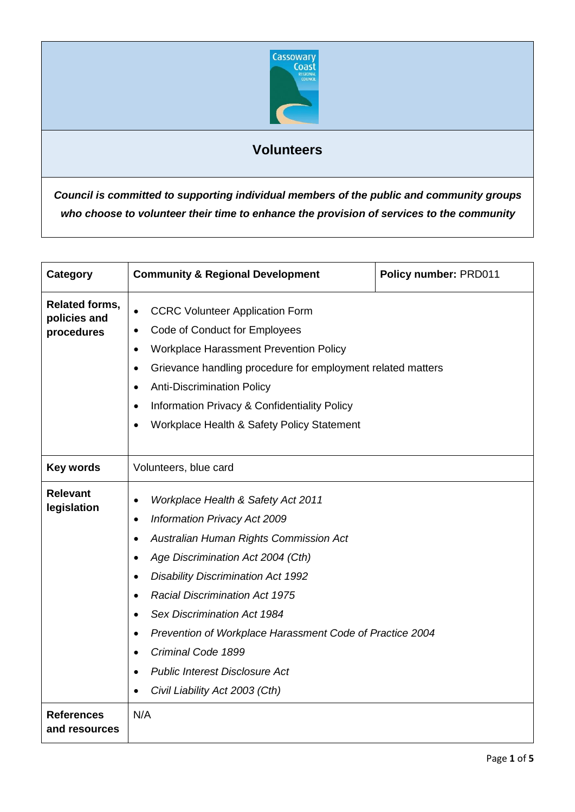

# **Volunteers**

*Council is committed to supporting individual members of the public and community groups who choose to volunteer their time to enhance the provision of services to the community*

| Category                                            | <b>Community &amp; Regional Development</b>                                                                                                                                                                                                                                                                                                                                                                                                                                                                                              | Policy number: PRD011 |
|-----------------------------------------------------|------------------------------------------------------------------------------------------------------------------------------------------------------------------------------------------------------------------------------------------------------------------------------------------------------------------------------------------------------------------------------------------------------------------------------------------------------------------------------------------------------------------------------------------|-----------------------|
| <b>Related forms,</b><br>policies and<br>procedures | <b>CCRC Volunteer Application Form</b><br>$\bullet$<br>Code of Conduct for Employees<br>٠<br><b>Workplace Harassment Prevention Policy</b><br>$\bullet$<br>Grievance handling procedure for employment related matters<br>$\bullet$<br><b>Anti-Discrimination Policy</b><br>$\bullet$<br>Information Privacy & Confidentiality Policy<br>$\bullet$<br>Workplace Health & Safety Policy Statement<br>$\bullet$                                                                                                                            |                       |
| <b>Key words</b>                                    | Volunteers, blue card                                                                                                                                                                                                                                                                                                                                                                                                                                                                                                                    |                       |
| <b>Relevant</b><br>legislation                      | <b>Workplace Health &amp; Safety Act 2011</b><br>Information Privacy Act 2009<br>٠<br>Australian Human Rights Commission Act<br>$\bullet$<br>Age Discrimination Act 2004 (Cth)<br>$\bullet$<br><b>Disability Discrimination Act 1992</b><br>$\bullet$<br><b>Racial Discrimination Act 1975</b><br><b>Sex Discrimination Act 1984</b><br>$\bullet$<br>Prevention of Workplace Harassment Code of Practice 2004<br>$\bullet$<br>Criminal Code 1899<br>$\bullet$<br><b>Public Interest Disclosure Act</b><br>Civil Liability Act 2003 (Cth) |                       |
| <b>References</b><br>and resources                  | N/A                                                                                                                                                                                                                                                                                                                                                                                                                                                                                                                                      |                       |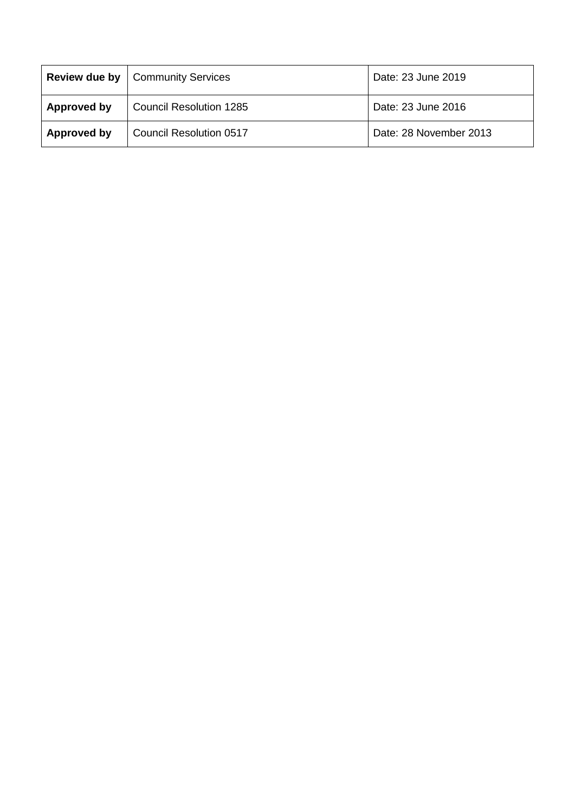|             | <b>Review due by   Community Services</b> | Date: 23 June 2019     |
|-------------|-------------------------------------------|------------------------|
| Approved by | <b>Council Resolution 1285</b>            | Date: 23 June 2016     |
| Approved by | Council Resolution 0517                   | Date: 28 November 2013 |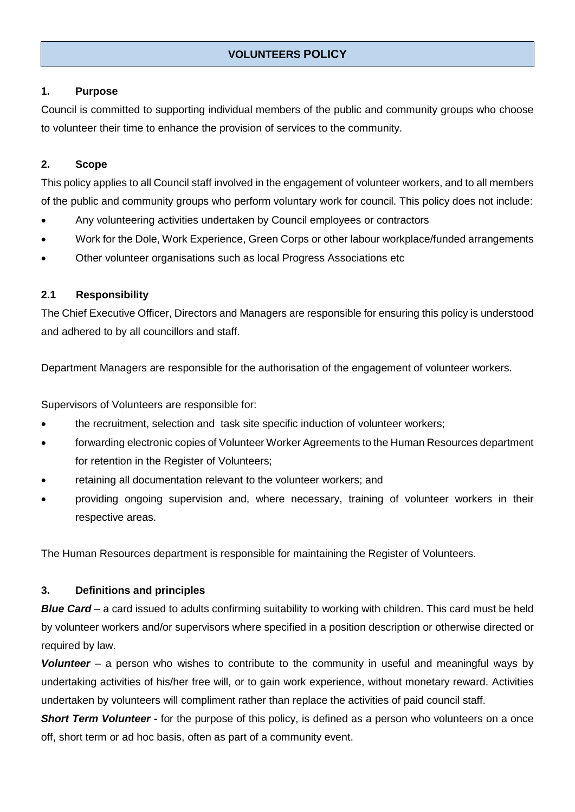## **VOLUNTEERS POLICY**

## **1. Purpose**

Council is committed to supporting individual members of the public and community groups who choose to volunteer their time to enhance the provision of services to the community.

## **2. Scope**

This policy applies to all Council staff involved in the engagement of volunteer workers, and to all members of the public and community groups who perform voluntary work for council. This policy does not include:

- Any volunteering activities undertaken by Council employees or contractors
- Work for the Dole, Work Experience, Green Corps or other labour workplace/funded arrangements
- Other volunteer organisations such as local Progress Associations etc

## **2.1 Responsibility**

The Chief Executive Officer, Directors and Managers are responsible for ensuring this policy is understood and adhered to by all councillors and staff.

Department Managers are responsible for the authorisation of the engagement of volunteer workers.

Supervisors of Volunteers are responsible for:

- the recruitment, selection and task site specific induction of volunteer workers;
- forwarding electronic copies of Volunteer Worker Agreements to the Human Resources department for retention in the Register of Volunteers;
- retaining all documentation relevant to the volunteer workers; and
- providing ongoing supervision and, where necessary, training of volunteer workers in their respective areas.

The Human Resources department is responsible for maintaining the Register of Volunteers.

#### **3. Definitions and principles**

*Blue Card* – a card issued to adults confirming suitability to working with children. This card must be held by volunteer workers and/or supervisors where specified in a position description or otherwise directed or required by law.

*Volunteer* – a person who wishes to contribute to the community in useful and meaningful ways by undertaking activities of his/her free will, or to gain work experience, without monetary reward. Activities undertaken by volunteers will compliment rather than replace the activities of paid council staff.

**Short Term Volunteer** - for the purpose of this policy, is defined as a person who volunteers on a once off, short term or ad hoc basis, often as part of a community event.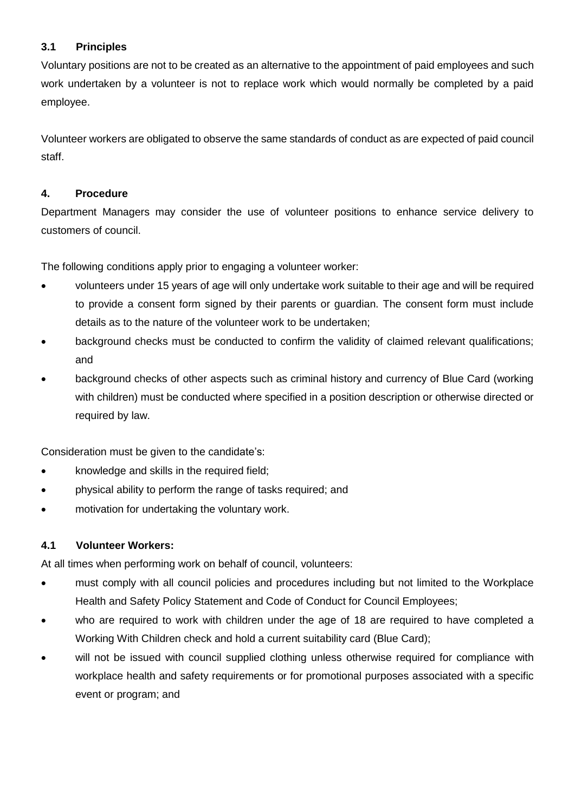## **3.1 Principles**

Voluntary positions are not to be created as an alternative to the appointment of paid employees and such work undertaken by a volunteer is not to replace work which would normally be completed by a paid employee.

Volunteer workers are obligated to observe the same standards of conduct as are expected of paid council staff.

## **4. Procedure**

Department Managers may consider the use of volunteer positions to enhance service delivery to customers of council.

The following conditions apply prior to engaging a volunteer worker:

- volunteers under 15 years of age will only undertake work suitable to their age and will be required to provide a consent form signed by their parents or guardian. The consent form must include details as to the nature of the volunteer work to be undertaken;
- background checks must be conducted to confirm the validity of claimed relevant qualifications; and
- background checks of other aspects such as criminal history and currency of Blue Card (working with children) must be conducted where specified in a position description or otherwise directed or required by law.

Consideration must be given to the candidate's:

- knowledge and skills in the required field;
- physical ability to perform the range of tasks required; and
- motivation for undertaking the voluntary work.

#### **4.1 Volunteer Workers:**

At all times when performing work on behalf of council, volunteers:

- must comply with all council policies and procedures including but not limited to the Workplace Health and Safety Policy Statement and Code of Conduct for Council Employees;
- who are required to work with children under the age of 18 are required to have completed a Working With Children check and hold a current suitability card (Blue Card);
- will not be issued with council supplied clothing unless otherwise required for compliance with workplace health and safety requirements or for promotional purposes associated with a specific event or program; and